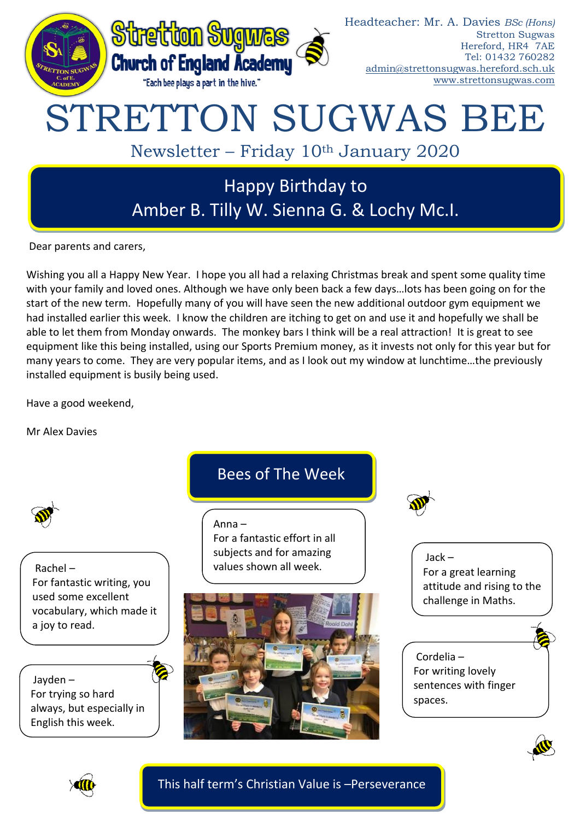

Dear parents and carers,

Wishing you all a Happy New Year. I hope you all had a relaxing Christmas break and spent some quality time with your family and loved ones. Although we have only been back a few days…lots has been going on for the start of the new term. Hopefully many of you will have seen the new additional outdoor gym equipment we had installed earlier this week. I know the children are itching to get on and use it and hopefully we shall be able to let them from Monday onwards. The monkey bars I think will be a real attraction! It is great to see equipment like this being installed, using our Sports Premium money, as it invests not only for this year but for many years to come. They are very popular items, and as I look out my window at lunchtime…the previously installed equipment is busily being used.

Have a good weekend,

Mr Alex Davies



Rachel – For fantastic writing, you used some excellent vocabulary, which made it a joy to read.

Jayden – For trying so hard always, but especially in English this week.

# Bees of The Week

Anna – For a fantastic effort in all subjects and for amazing values shown all week.





Jack – For a great learning attitude and rising to the challenge in Maths.

```
Cordelia –
For writing lovely 
sentences with finger 
spaces.
```